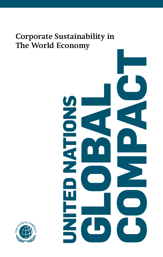# Corporate Sustainability in The World Economy



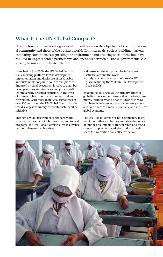# **What Is the UN Global Compact?**

Never before has there been a greater alignment between the objectives of the international community and those of the business world. Common goals, such as building markets, combating corruption, safeguarding the environment and ensuring social inclusion, have resulted in unprecedented partnerships and openness between business, governments, civil society, labour and the United Nations.

Launched in July 2000, the UN Global Compact is a leadership platform for the development, implementation and disclosure of responsible and sustainable corporate policies and practices. Endorsed by chief executives, it seeks to align business operations and strategies everywhere with ten universally accepted principles in the areas of human rights, labour, environment and anticorruption. With more than 8,500 signatories in over 135 countries, the UN Global Compact is the world's largest voluntary corporate sustainability initiative.

Through a wide spectrum of specialized workstreams, management tools, resources, and topical programs, the UN Global Compact aims to advance two complementary objectives:

- Mainstream the ten principles in business activities around the world
- Catalyze actions in support of broader UN goals, including the Millennium Development Goals (MDGs)

By doing so, business, as the primary driver of globalization, can help ensure that markets, commerce, technology and finance advance in ways that benefit economies and societies everywhere and contribute to a more sustainable and inclusive global economy.

The UN Global Compact is not a regulatory instrument, but rather a voluntary initiative that relies on public accountability, transparency and disclosure to complement regulation and to provide a space for innovation and collective action.

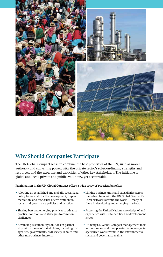

# **Why Should Companies Participate**

The UN Global Compact seeks to combine the best properties of the UN, such as moral authority and convening power, with the private sector's solution-finding strengths and resources, and the expertise and capacities of other key stakeholders. The initiative is global and local; private and public; voluntary, yet accountable.

### **Participation in the UN Global Compact offers a wide array of practical benefits:**

- Adopting an established and globally recognized policy framework for the development, implementation, and disclosure of environmental, social, and governance policies and practices.
- Sharing best and emerging practices to advance practical solutions and strategies to common challenges.
- Advancing sustainability solutions in partnership with a range of stakeholders, including UN agencies, governments, civil society, labour, and other non-business interests.
- Linking business units and subsidiaries across the value chain with the UN Global Compact's Local Networks around the world – many of these in developing and emerging markets.
- Accessing the United Nations knowledge of and experience with sustainability and development issues.
- Utilizing UN Global Compact management tools and resources, and the opportunity to engage in specialized workstreams in the environmental, social and governance realms.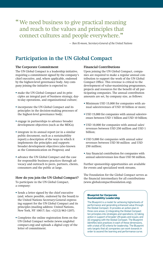"We need business to give practical meaning and reach to the values and principles that connect cultures and people everywhere."

*— Ban Ki-moon, Secretary-General of the United Nations*

# **Participation in the UN Global Compact**

## **The Corporate Commitment**

The UN Global Compact is a leadership initiative, requiring a commitment signed by the company's chief executive, and, where applicable, endorsed by the highest-level governance body. Any company joining the initiative is expected to:

- make the UN Global Compact and its principles an integral part of business strategy, dayto-day operations, and organizational culture;
- incorporate the UN Global Compact and its principles in the decision-making processes of the highest-level governance body;
- engage in partnerships to advance broader development objectives (such as the MDGs);
- integrate in its annual report (or in a similar public document, such as a sustainability report) a description of the ways in which it implements the principles and supports broader development objectives (also known as the Communication on Progress); and
- advance the UN Global Compact and the case for responsible business practices through advocacy and outreach to peers, partners, clients, consumers and the public at large.

#### **How do you join the UN Global Compact?**

To participate in the UN Global Compact, a company:

- Sends a letter signed by the chief executive (and, where possible, endorsed by the board) to the United Nations Secretary-General expressing support for the UN Global Compact and its principles (mailing address: United Nations, New York, NY 10017; fax: +1(212) 963-1207).
- Completes the online registration form on the UN Global Compact website (www.unglobal compact.org) and uploads a digital copy of the letter of commitment.

### **Financial Contributions**

Upon joining the UN Global Compact, companies are required to make a regular annual contribution to support the work of the UN Global Compact Office. This revenue is critical to the development of value-maximizing programmes, projects and resources for the benefit of all participating companies. The annual contribution amounts are set, by company size, as follows:

- Minimum USD 15,000 for companies with annual sales/revenues of USD 10 billion or more;
- USD 15,000 for companies with annual sales/revenues between USD 1 billion and USD 10 billion;
- USD 10,000 for companies with annual sales/ revenues between USD 250 million and USD 1 billion;
- USD 5,000 for companies with annual sales/ revenues between USD 50 million and USD 250 million;
- Any financial contribution for companies with annual sales/revenues less than USD 50 million.

Further sponsorship opportunities are available for events and specialized work streams.

The Foundation for the Global Compact serves as the financial intermediary for all contributions (www.globalcompactfoundation.org).

#### **Blueprint for Corporate Sustainability Leadership**

The Blueprint is a model for achieving higherlevels of performance and generating enhanced value through the Global Compact. It provides an action plan in three core areas: (i) integrating the Global Compact ten principles into strategies and operations; (ii) taking action in support of broader UN goals and issues; and (iii) engaging with the Global Compact. The Blueprint identifies best practices in each of these dimensions, with a total of 50 criteria for leadership. The Blueprint sets targets that all companies can work towards in order to ascend the learning and performance curve.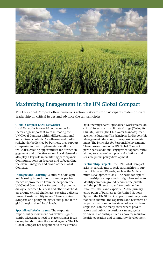

# **Maximizing Engagement in the UN Global Compact**

The UN Global Compact offers numerous action platforms for participants to demonstrate leadership on critical issues and advance the ten principles.

#### **Global Compact Local Networks:**

Local Networks in over 90 countries perform increasingly important roles in rooting the UN Global Compact within different national and cultural contexts. As self-governed multistakeholder bodies led by business, they support companies in their implementation efforts, while also creating opportunities for further engagement and collective action. Local Networks also play a key role in facilitating participants' Communications on Progress and safeguarding the overall integrity and brand of the Global Compact.

**Dialogue and Learning:** A culture of dialogue and learning is crucial to continuous performance improvement. From its inception, the UN Global Compact has fostered and promoted dialogue between business and other stakeholders around critical challenges, covering a diverse range of sustainability issues. These working symposia and policy dialogues take place at the global, regional and local levels.

**Specialized Workstreams:** The corporate responsibility movement has evolved significantly, triggering a need to place stronger focus on key trends driving the global agenda. The UN Global Compact has responded to theses trends

by launching several specialized workstreams on critical issues such as climate change (Caring for Climate), water (The CEO Water Mandate), management education (The Principles for Responsible Management Education), or responsible investment (The Principles for Responsible Investment). These programmes offer UN Global Compact participants additional engagement opportunities, aiming to advance both practical solutions and sensible public policy development.

**Partnership Projects:** The UN Global Compact asks its participants to seek partnerships in support of broader UN goals, such as the Millennium Development Goals. The basic concept of partnerships is simple and straightforward – to identify common ground between the private and the public sectors, and to combine their resources, skills and expertise. As the primary entry point of business to the United Nations System, the UN Global Compact is uniquely positioned to channel the capacities and resources of its participants and other stakeholders. Partnerships focus on the many areas where private actors and public institutions can engage in win-win relationships, such as poverty reduction, health, education and community development.